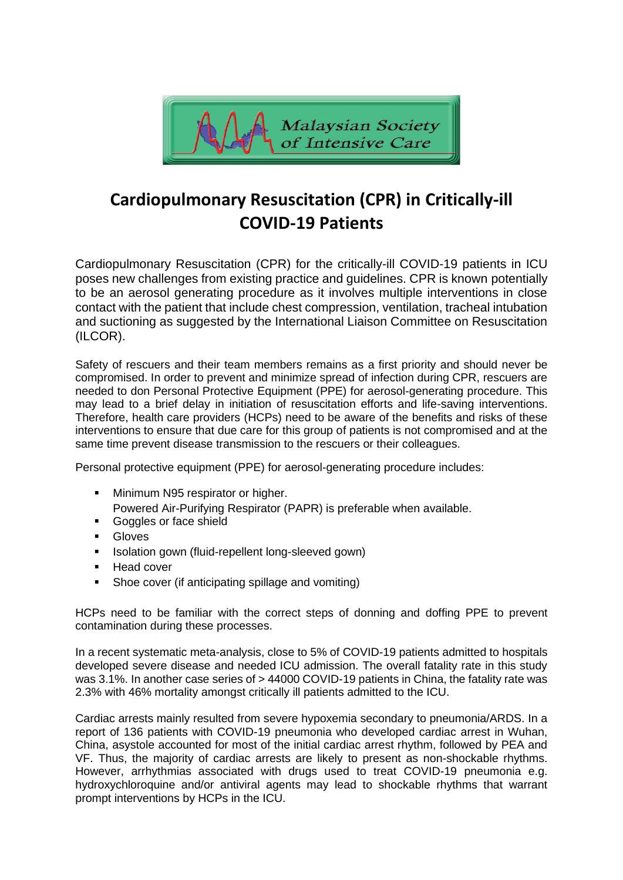

# **Cardiopulmonary Resuscitation (CPR) in Critically-ill COVID-19 Patients**

Cardiopulmonary Resuscitation (CPR) for the critically-ill COVID-19 patients in ICU poses new challenges from existing practice and guidelines. CPR is known potentially to be an aerosol generating procedure as it involves multiple interventions in close contact with the patient that include chest compression, ventilation, tracheal intubation and suctioning as suggested by the International Liaison Committee on Resuscitation (ILCOR).

Safety of rescuers and their team members remains as a first priority and should never be compromised. In order to prevent and minimize spread of infection during CPR, rescuers are needed to don Personal Protective Equipment (PPE) for aerosol-generating procedure. This may lead to a brief delay in initiation of resuscitation efforts and life-saving interventions. Therefore, health care providers (HCPs) need to be aware of the benefits and risks of these interventions to ensure that due care for this group of patients is not compromised and at the same time prevent disease transmission to the rescuers or their colleagues.

Personal protective equipment (PPE) for aerosol-generating procedure includes:

- Minimum N95 respirator or higher.
- Powered Air-Purifying Respirator (PAPR) is preferable when available.
- Goggles or face shield
- Gloves
- Isolation gown (fluid-repellent long-sleeved gown)
- Head cover
- Shoe cover (if anticipating spillage and vomiting)

HCPs need to be familiar with the correct steps of donning and doffing PPE to prevent contamination during these processes.

In a recent systematic meta-analysis, close to 5% of COVID-19 patients admitted to hospitals developed severe disease and needed ICU admission. The overall fatality rate in this study was 3.1%. In another case series of > 44000 COVID-19 patients in China, the fatality rate was 2.3% with 46% mortality amongst critically ill patients admitted to the ICU.

Cardiac arrests mainly resulted from severe hypoxemia secondary to pneumonia/ARDS. In a report of 136 patients with COVID-19 pneumonia who developed cardiac arrest in Wuhan, China, asystole accounted for most of the initial cardiac arrest rhythm, followed by PEA and VF. Thus, the majority of cardiac arrests are likely to present as non-shockable rhythms. However, arrhythmias associated with drugs used to treat COVID-19 pneumonia e.g. hydroxychloroquine and/or antiviral agents may lead to shockable rhythms that warrant prompt interventions by HCPs in the ICU.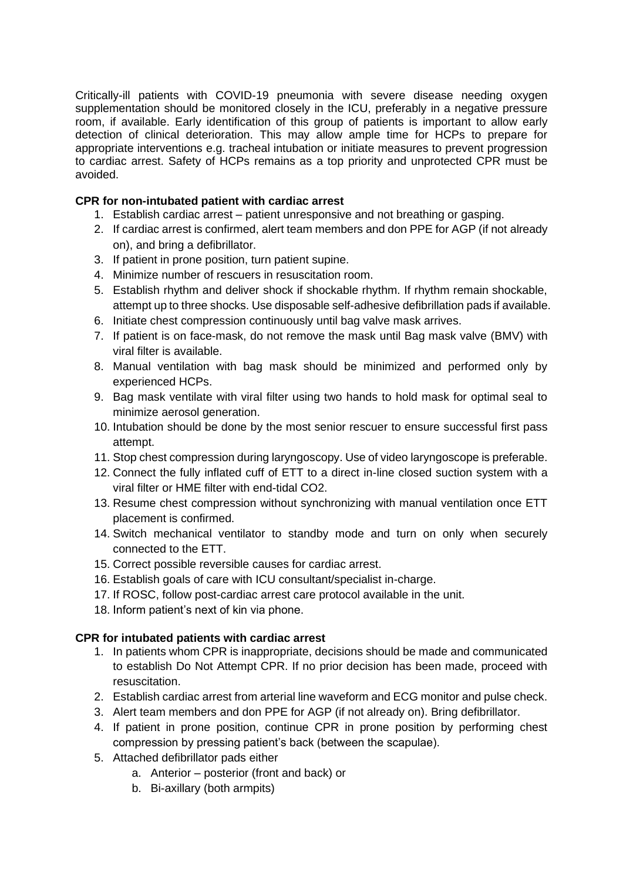Critically-ill patients with COVID-19 pneumonia with severe disease needing oxygen supplementation should be monitored closely in the ICU, preferably in a negative pressure room, if available. Early identification of this group of patients is important to allow early detection of clinical deterioration. This may allow ample time for HCPs to prepare for appropriate interventions e.g. tracheal intubation or initiate measures to prevent progression to cardiac arrest. Safety of HCPs remains as a top priority and unprotected CPR must be avoided.

## **CPR for non-intubated patient with cardiac arrest**

- 1. Establish cardiac arrest patient unresponsive and not breathing or gasping.
- 2. If cardiac arrest is confirmed, alert team members and don PPE for AGP (if not already on), and bring a defibrillator.
- 3. If patient in prone position, turn patient supine.
- 4. Minimize number of rescuers in resuscitation room.
- 5. Establish rhythm and deliver shock if shockable rhythm. If rhythm remain shockable, attempt up to three shocks. Use disposable self-adhesive defibrillation pads if available.
- 6. Initiate chest compression continuously until bag valve mask arrives.
- 7. If patient is on face-mask, do not remove the mask until Bag mask valve (BMV) with viral filter is available.
- 8. Manual ventilation with bag mask should be minimized and performed only by experienced HCPs.
- 9. Bag mask ventilate with viral filter using two hands to hold mask for optimal seal to minimize aerosol generation.
- 10. Intubation should be done by the most senior rescuer to ensure successful first pass attempt.
- 11. Stop chest compression during laryngoscopy. Use of video laryngoscope is preferable.
- 12. Connect the fully inflated cuff of ETT to a direct in-line closed suction system with a viral filter or HME filter with end-tidal CO2.
- 13. Resume chest compression without synchronizing with manual ventilation once ETT placement is confirmed.
- 14. Switch mechanical ventilator to standby mode and turn on only when securely connected to the ETT.
- 15. Correct possible reversible causes for cardiac arrest.
- 16. Establish goals of care with ICU consultant/specialist in-charge.
- 17. If ROSC, follow post-cardiac arrest care protocol available in the unit.
- 18. Inform patient's next of kin via phone.

### **CPR for intubated patients with cardiac arrest**

- 1. In patients whom CPR is inappropriate, decisions should be made and communicated to establish Do Not Attempt CPR. If no prior decision has been made, proceed with resuscitation.
- 2. Establish cardiac arrest from arterial line waveform and ECG monitor and pulse check.
- 3. Alert team members and don PPE for AGP (if not already on). Bring defibrillator.
- 4. If patient in prone position, continue CPR in prone position by performing chest compression by pressing patient's back (between the scapulae).
- 5. Attached defibrillator pads either
	- a. Anterior posterior (front and back) or
	- b. Bi-axillary (both armpits)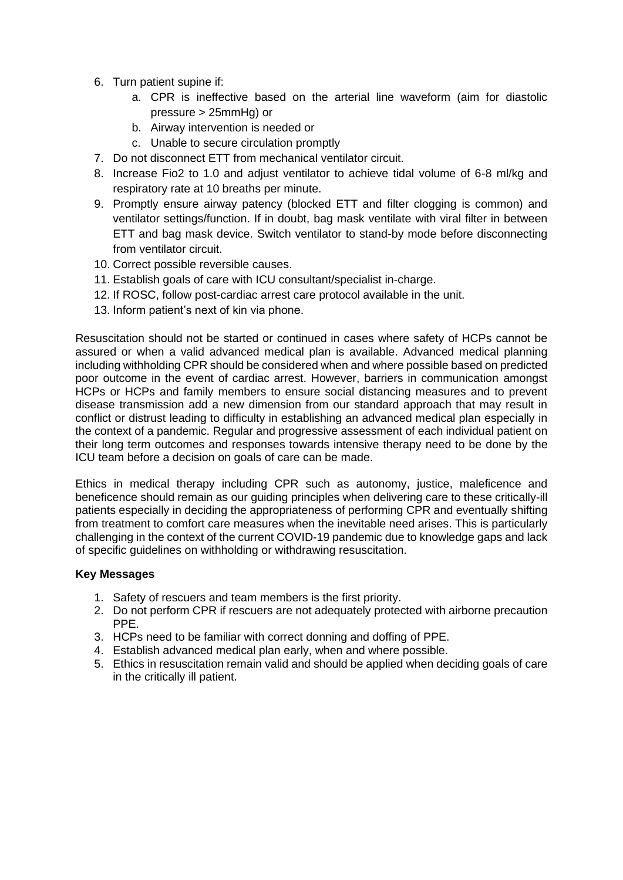- 6. Turn patient supine if:
	- a. CPR is ineffective based on the arterial line waveform (aim for diastolic pressure > 25mmHg) or
	- b. Airway intervention is needed or
	- c. Unable to secure circulation promptly
- 7. Do not disconnect ETT from mechanical ventilator circuit.
- 8. Increase Fio2 to 1.0 and adjust ventilator to achieve tidal volume of 6-8 ml/kg and respiratory rate at 10 breaths per minute.
- 9. Promptly ensure airway patency (blocked ETT and filter clogging is common) and ventilator settings/function. If in doubt, bag mask ventilate with viral filter in between ETT and bag mask device. Switch ventilator to stand-by mode before disconnecting from ventilator circuit.
- 10. Correct possible reversible causes.
- 11. Establish goals of care with ICU consultant/specialist in-charge.
- 12. If ROSC, follow post-cardiac arrest care protocol available in the unit.
- 13. Inform patient's next of kin via phone.

Resuscitation should not be started or continued in cases where safety of HCPs cannot be assured or when a valid advanced medical plan is available. Advanced medical planning including withholding CPR should be considered when and where possible based on predicted poor outcome in the event of cardiac arrest. However, barriers in communication amongst HCPs or HCPs and family members to ensure social distancing measures and to prevent disease transmission add a new dimension from our standard approach that may result in conflict or distrust leading to difficulty in establishing an advanced medical plan especially in the context of a pandemic. Regular and progressive assessment of each individual patient on their long term outcomes and responses towards intensive therapy need to be done by the ICU team before a decision on goals of care can be made.

Ethics in medical therapy including CPR such as autonomy, justice, maleficence and beneficence should remain as our guiding principles when delivering care to these critically-ill patients especially in deciding the appropriateness of performing CPR and eventually shifting from treatment to comfort care measures when the inevitable need arises. This is particularly challenging in the context of the current COVID-19 pandemic due to knowledge gaps and lack of specific guidelines on withholding or withdrawing resuscitation.

### **Key Messages**

- 1. Safety of rescuers and team members is the first priority.
- 2. Do not perform CPR if rescuers are not adequately protected with airborne precaution PPE.
- 3. HCPs need to be familiar with correct donning and doffing of PPE.
- 4. Establish advanced medical plan early, when and where possible.
- 5. Ethics in resuscitation remain valid and should be applied when deciding goals of care in the critically ill patient.